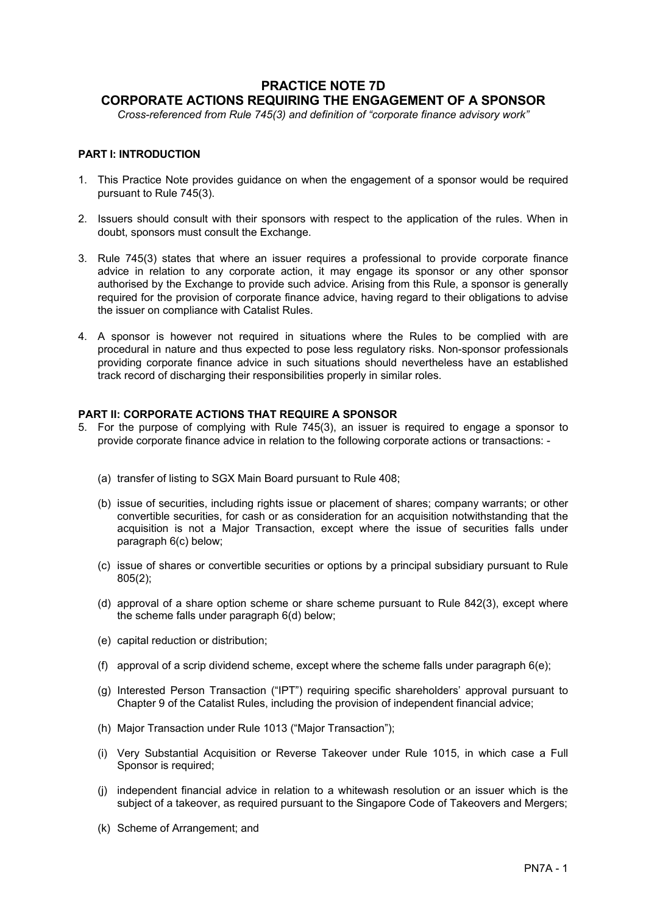## **PRACTICE NOTE 7D CORPORATE ACTIONS REQUIRING THE ENGAGEMENT OF A SPONSOR**

*Cross-referenced from Rule 745(3) and definition of "corporate finance advisory work"*

## **PART I: INTRODUCTION**

- 1. This Practice Note provides guidance on when the engagement of a sponsor would be required pursuant to Rule 745(3).
- 2. Issuers should consult with their sponsors with respect to the application of the rules. When in doubt, sponsors must consult the Exchange.
- 3. Rule 745(3) states that where an issuer requires a professional to provide corporate finance advice in relation to any corporate action, it may engage its sponsor or any other sponsor authorised by the Exchange to provide such advice. Arising from this Rule, a sponsor is generally required for the provision of corporate finance advice, having regard to their obligations to advise the issuer on compliance with Catalist Rules.
- 4. A sponsor is however not required in situations where the Rules to be complied with are procedural in nature and thus expected to pose less regulatory risks. Non-sponsor professionals providing corporate finance advice in such situations should nevertheless have an established track record of discharging their responsibilities properly in similar roles.

## **PART II: CORPORATE ACTIONS THAT REQUIRE A SPONSOR**

- 5. For the purpose of complying with Rule 745(3), an issuer is required to engage a sponsor to provide corporate finance advice in relation to the following corporate actions or transactions: -
	- (a) transfer of listing to SGX Main Board pursuant to Rule 408;
	- (b) issue of securities, including rights issue or placement of shares; company warrants; or other convertible securities, for cash or as consideration for an acquisition notwithstanding that the acquisition is not a Major Transaction, except where the issue of securities falls under paragraph 6(c) below;
	- (c) issue of shares or convertible securities or options by a principal subsidiary pursuant to Rule 805(2);
	- (d) approval of a share option scheme or share scheme pursuant to Rule 842(3), except where the scheme falls under paragraph 6(d) below;
	- (e) capital reduction or distribution;
	- (f) approval of a scrip dividend scheme, except where the scheme falls under paragraph  $6(e)$ ;
	- (g) Interested Person Transaction ("IPT") requiring specific shareholders' approval pursuant to Chapter 9 of the Catalist Rules, including the provision of independent financial advice;
	- (h) Major Transaction under Rule 1013 ("Major Transaction");
	- (i) Very Substantial Acquisition or Reverse Takeover under Rule 1015, in which case a Full Sponsor is required:
	- (j) independent financial advice in relation to a whitewash resolution or an issuer which is the subject of a takeover, as required pursuant to the Singapore Code of Takeovers and Mergers;
	- (k) Scheme of Arrangement; and